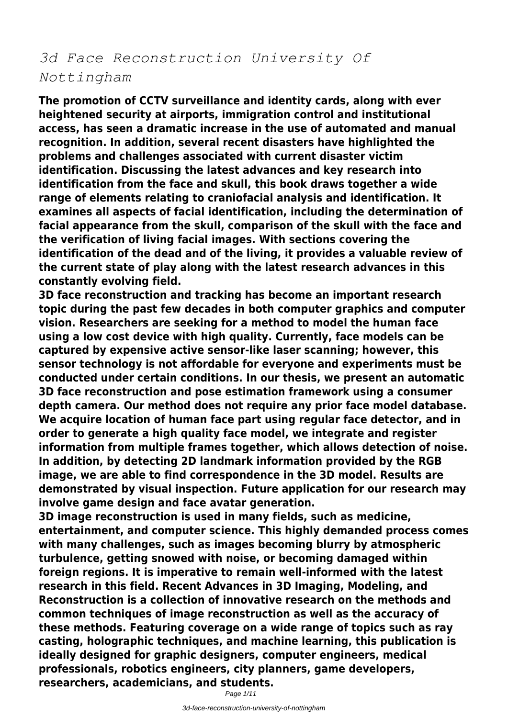## *3d Face Reconstruction University Of Nottingham*

**The promotion of CCTV surveillance and identity cards, along with ever heightened security at airports, immigration control and institutional access, has seen a dramatic increase in the use of automated and manual recognition. In addition, several recent disasters have highlighted the problems and challenges associated with current disaster victim identification. Discussing the latest advances and key research into identification from the face and skull, this book draws together a wide range of elements relating to craniofacial analysis and identification. It examines all aspects of facial identification, including the determination of facial appearance from the skull, comparison of the skull with the face and the verification of living facial images. With sections covering the identification of the dead and of the living, it provides a valuable review of the current state of play along with the latest research advances in this constantly evolving field.**

**3D face reconstruction and tracking has become an important research topic during the past few decades in both computer graphics and computer vision. Researchers are seeking for a method to model the human face using a low cost device with high quality. Currently, face models can be captured by expensive active sensor-like laser scanning; however, this sensor technology is not affordable for everyone and experiments must be conducted under certain conditions. In our thesis, we present an automatic 3D face reconstruction and pose estimation framework using a consumer depth camera. Our method does not require any prior face model database. We acquire location of human face part using regular face detector, and in order to generate a high quality face model, we integrate and register information from multiple frames together, which allows detection of noise. In addition, by detecting 2D landmark information provided by the RGB image, we are able to find correspondence in the 3D model. Results are demonstrated by visual inspection. Future application for our research may involve game design and face avatar generation.**

**3D image reconstruction is used in many fields, such as medicine, entertainment, and computer science. This highly demanded process comes with many challenges, such as images becoming blurry by atmospheric turbulence, getting snowed with noise, or becoming damaged within foreign regions. It is imperative to remain well-informed with the latest research in this field. Recent Advances in 3D Imaging, Modeling, and Reconstruction is a collection of innovative research on the methods and common techniques of image reconstruction as well as the accuracy of these methods. Featuring coverage on a wide range of topics such as ray casting, holographic techniques, and machine learning, this publication is ideally designed for graphic designers, computer engineers, medical professionals, robotics engineers, city planners, game developers, researchers, academicians, and students.**

Page 1/11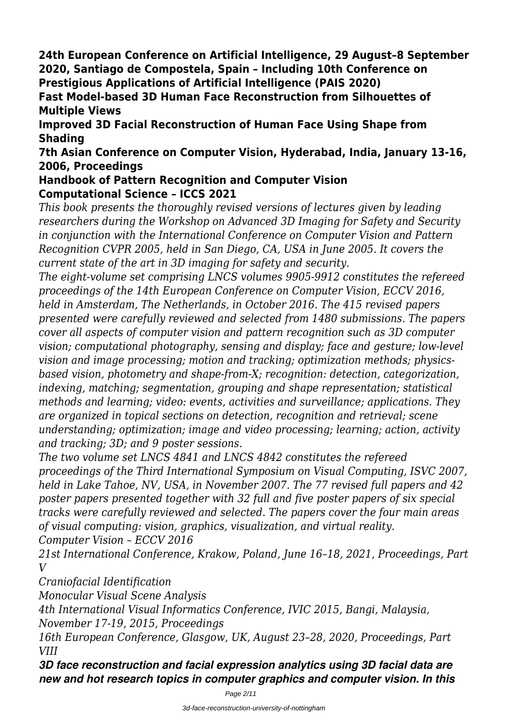**24th European Conference on Artificial Intelligence, 29 August–8 September 2020, Santiago de Compostela, Spain – Including 10th Conference on Prestigious Applications of Artificial Intelligence (PAIS 2020)**

**Fast Model-based 3D Human Face Reconstruction from Silhouettes of Multiple Views**

**Improved 3D Facial Reconstruction of Human Face Using Shape from Shading**

**7th Asian Conference on Computer Vision, Hyderabad, India, January 13-16, 2006, Proceedings**

## **Handbook of Pattern Recognition and Computer Vision Computational Science – ICCS 2021**

*This book presents the thoroughly revised versions of lectures given by leading researchers during the Workshop on Advanced 3D Imaging for Safety and Security in conjunction with the International Conference on Computer Vision and Pattern Recognition CVPR 2005, held in San Diego, CA, USA in June 2005. It covers the current state of the art in 3D imaging for safety and security.*

*The eight-volume set comprising LNCS volumes 9905-9912 constitutes the refereed proceedings of the 14th European Conference on Computer Vision, ECCV 2016, held in Amsterdam, The Netherlands, in October 2016. The 415 revised papers presented were carefully reviewed and selected from 1480 submissions. The papers cover all aspects of computer vision and pattern recognition such as 3D computer vision; computational photography, sensing and display; face and gesture; low-level vision and image processing; motion and tracking; optimization methods; physicsbased vision, photometry and shape-from-X; recognition: detection, categorization, indexing, matching; segmentation, grouping and shape representation; statistical methods and learning; video: events, activities and surveillance; applications. They are organized in topical sections on detection, recognition and retrieval; scene understanding; optimization; image and video processing; learning; action, activity and tracking; 3D; and 9 poster sessions.*

*The two volume set LNCS 4841 and LNCS 4842 constitutes the refereed proceedings of the Third International Symposium on Visual Computing, ISVC 2007, held in Lake Tahoe, NV, USA, in November 2007. The 77 revised full papers and 42 poster papers presented together with 32 full and five poster papers of six special tracks were carefully reviewed and selected. The papers cover the four main areas of visual computing: vision, graphics, visualization, and virtual reality. Computer Vision – ECCV 2016*

*21st International Conference, Krakow, Poland, June 16–18, 2021, Proceedings, Part V*

*Craniofacial Identification*

*Monocular Visual Scene Analysis*

*4th International Visual Informatics Conference, IVIC 2015, Bangi, Malaysia,*

*November 17-19, 2015, Proceedings*

*16th European Conference, Glasgow, UK, August 23–28, 2020, Proceedings, Part VIII*

*3D face reconstruction and facial expression analytics using 3D facial data are new and hot research topics in computer graphics and computer vision. In this*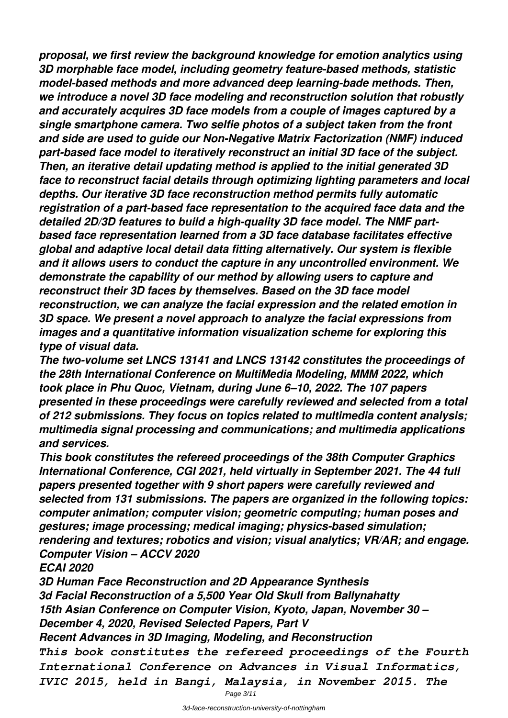*proposal, we first review the background knowledge for emotion analytics using 3D morphable face model, including geometry feature-based methods, statistic model-based methods and more advanced deep learning-bade methods. Then, we introduce a novel 3D face modeling and reconstruction solution that robustly and accurately acquires 3D face models from a couple of images captured by a single smartphone camera. Two selfie photos of a subject taken from the front and side are used to guide our Non-Negative Matrix Factorization (NMF) induced part-based face model to iteratively reconstruct an initial 3D face of the subject. Then, an iterative detail updating method is applied to the initial generated 3D face to reconstruct facial details through optimizing lighting parameters and local depths. Our iterative 3D face reconstruction method permits fully automatic registration of a part-based face representation to the acquired face data and the detailed 2D/3D features to build a high-quality 3D face model. The NMF partbased face representation learned from a 3D face database facilitates effective global and adaptive local detail data fitting alternatively. Our system is flexible and it allows users to conduct the capture in any uncontrolled environment. We demonstrate the capability of our method by allowing users to capture and reconstruct their 3D faces by themselves. Based on the 3D face model reconstruction, we can analyze the facial expression and the related emotion in 3D space. We present a novel approach to analyze the facial expressions from images and a quantitative information visualization scheme for exploring this type of visual data.*

*The two-volume set LNCS 13141 and LNCS 13142 constitutes the proceedings of the 28th International Conference on MultiMedia Modeling, MMM 2022, which took place in Phu Quoc, Vietnam, during June 6–10, 2022. The 107 papers presented in these proceedings were carefully reviewed and selected from a total of 212 submissions. They focus on topics related to multimedia content analysis; multimedia signal processing and communications; and multimedia applications and services.*

*This book constitutes the refereed proceedings of the 38th Computer Graphics International Conference, CGI 2021, held virtually in September 2021. The 44 full papers presented together with 9 short papers were carefully reviewed and selected from 131 submissions. The papers are organized in the following topics: computer animation; computer vision; geometric computing; human poses and gestures; image processing; medical imaging; physics-based simulation; rendering and textures; robotics and vision; visual analytics; VR/AR; and engage. Computer Vision – ACCV 2020*

*ECAI 2020*

*3D Human Face Reconstruction and 2D Appearance Synthesis 3d Facial Reconstruction of a 5,500 Year Old Skull from Ballynahatty 15th Asian Conference on Computer Vision, Kyoto, Japan, November 30 – December 4, 2020, Revised Selected Papers, Part V Recent Advances in 3D Imaging, Modeling, and Reconstruction This book constitutes the refereed proceedings of the Fourth International Conference on Advances in Visual Informatics,*

*IVIC 2015, held in Bangi, Malaysia, in November 2015. The*

Page 3/11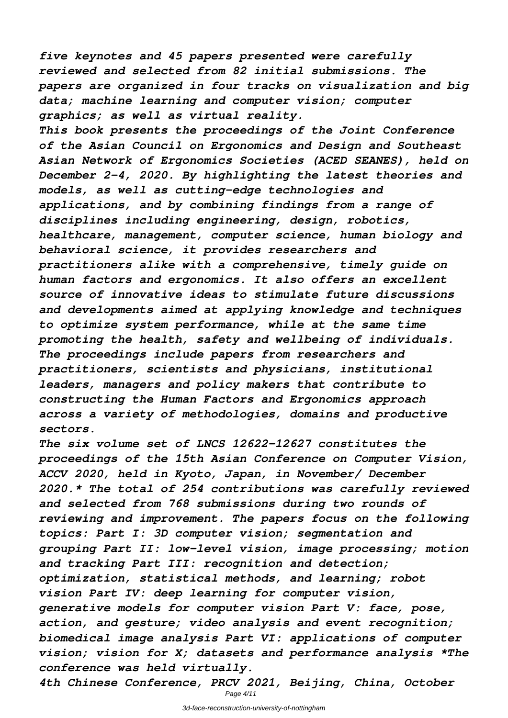*five keynotes and 45 papers presented were carefully reviewed and selected from 82 initial submissions. The papers are organized in four tracks on visualization and big data; machine learning and computer vision; computer graphics; as well as virtual reality.*

*This book presents the proceedings of the Joint Conference of the Asian Council on Ergonomics and Design and Southeast Asian Network of Ergonomics Societies (ACED SEANES), held on December 2-4, 2020. By highlighting the latest theories and models, as well as cutting-edge technologies and applications, and by combining findings from a range of disciplines including engineering, design, robotics, healthcare, management, computer science, human biology and behavioral science, it provides researchers and practitioners alike with a comprehensive, timely guide on human factors and ergonomics. It also offers an excellent source of innovative ideas to stimulate future discussions and developments aimed at applying knowledge and techniques to optimize system performance, while at the same time promoting the health, safety and wellbeing of individuals. The proceedings include papers from researchers and practitioners, scientists and physicians, institutional leaders, managers and policy makers that contribute to constructing the Human Factors and Ergonomics approach across a variety of methodologies, domains and productive sectors.*

*The six volume set of LNCS 12622-12627 constitutes the proceedings of the 15th Asian Conference on Computer Vision, ACCV 2020, held in Kyoto, Japan, in November/ December 2020.\* The total of 254 contributions was carefully reviewed and selected from 768 submissions during two rounds of reviewing and improvement. The papers focus on the following topics: Part I: 3D computer vision; segmentation and grouping Part II: low-level vision, image processing; motion and tracking Part III: recognition and detection; optimization, statistical methods, and learning; robot vision Part IV: deep learning for computer vision, generative models for computer vision Part V: face, pose, action, and gesture; video analysis and event recognition; biomedical image analysis Part VI: applications of computer vision; vision for X; datasets and performance analysis \*The conference was held virtually.*

*4th Chinese Conference, PRCV 2021, Beijing, China, October* Page 4/11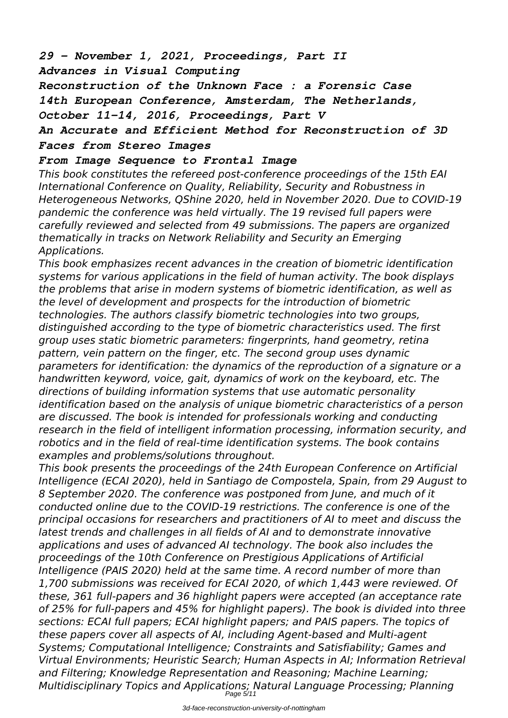*29 – November 1, 2021, Proceedings, Part II Advances in Visual Computing*

*Reconstruction of the Unknown Face : a Forensic Case 14th European Conference, Amsterdam, The Netherlands, October 11-14, 2016, Proceedings, Part V*

## *An Accurate and Efficient Method for Reconstruction of 3D Faces from Stereo Images*

## *From Image Sequence to Frontal Image*

*This book constitutes the refereed post-conference proceedings of the 15th EAI International Conference on Quality, Reliability, Security and Robustness in Heterogeneous Networks, QShine 2020, held in November 2020. Due to COVID-19 pandemic the conference was held virtually. The 19 revised full papers were carefully reviewed and selected from 49 submissions. The papers are organized thematically in tracks on Network Reliability and Security an Emerging Applications.*

*This book emphasizes recent advances in the creation of biometric identification systems for various applications in the field of human activity. The book displays the problems that arise in modern systems of biometric identification, as well as the level of development and prospects for the introduction of biometric technologies. The authors classify biometric technologies into two groups, distinguished according to the type of biometric characteristics used. The first group uses static biometric parameters: fingerprints, hand geometry, retina pattern, vein pattern on the finger, etc. The second group uses dynamic parameters for identification: the dynamics of the reproduction of a signature or a handwritten keyword, voice, gait, dynamics of work on the keyboard, etc. The directions of building information systems that use automatic personality identification based on the analysis of unique biometric characteristics of a person are discussed. The book is intended for professionals working and conducting research in the field of intelligent information processing, information security, and robotics and in the field of real-time identification systems. The book contains examples and problems/solutions throughout.*

*This book presents the proceedings of the 24th European Conference on Artificial Intelligence (ECAI 2020), held in Santiago de Compostela, Spain, from 29 August to 8 September 2020. The conference was postponed from June, and much of it conducted online due to the COVID-19 restrictions. The conference is one of the principal occasions for researchers and practitioners of AI to meet and discuss the latest trends and challenges in all fields of AI and to demonstrate innovative applications and uses of advanced AI technology. The book also includes the proceedings of the 10th Conference on Prestigious Applications of Artificial Intelligence (PAIS 2020) held at the same time. A record number of more than 1,700 submissions was received for ECAI 2020, of which 1,443 were reviewed. Of these, 361 full-papers and 36 highlight papers were accepted (an acceptance rate of 25% for full-papers and 45% for highlight papers). The book is divided into three sections: ECAI full papers; ECAI highlight papers; and PAIS papers. The topics of these papers cover all aspects of AI, including Agent-based and Multi-agent Systems; Computational Intelligence; Constraints and Satisfiability; Games and Virtual Environments; Heuristic Search; Human Aspects in AI; Information Retrieval and Filtering; Knowledge Representation and Reasoning; Machine Learning; Multidisciplinary Topics and Applications; Natural Language Processing; Planning* Page 5/11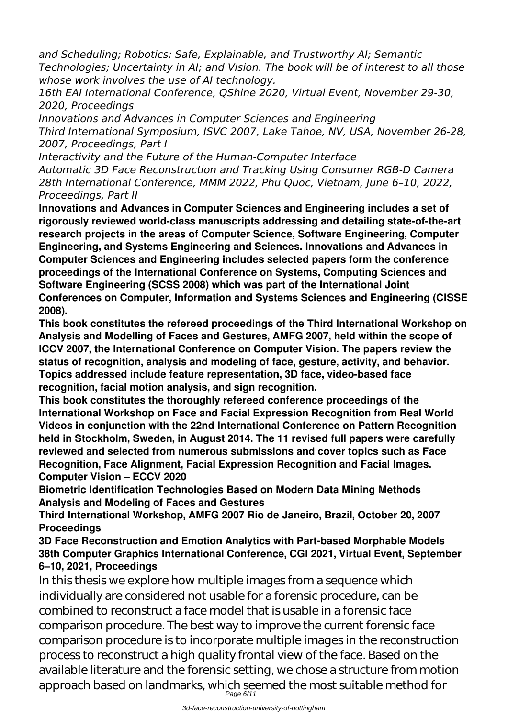*and Scheduling; Robotics; Safe, Explainable, and Trustworthy AI; Semantic Technologies; Uncertainty in AI; and Vision. The book will be of interest to all those whose work involves the use of AI technology.*

*16th EAI International Conference, QShine 2020, Virtual Event, November 29-30, 2020, Proceedings*

*Innovations and Advances in Computer Sciences and Engineering Third International Symposium, ISVC 2007, Lake Tahoe, NV, USA, November 26-28, 2007, Proceedings, Part I*

*Interactivity and the Future of the Human-Computer Interface Automatic 3D Face Reconstruction and Tracking Using Consumer RGB-D Camera 28th International Conference, MMM 2022, Phu Quoc, Vietnam, June 6–10, 2022, Proceedings, Part II*

**Innovations and Advances in Computer Sciences and Engineering includes a set of rigorously reviewed world-class manuscripts addressing and detailing state-of-the-art research projects in the areas of Computer Science, Software Engineering, Computer Engineering, and Systems Engineering and Sciences. Innovations and Advances in Computer Sciences and Engineering includes selected papers form the conference proceedings of the International Conference on Systems, Computing Sciences and Software Engineering (SCSS 2008) which was part of the International Joint Conferences on Computer, Information and Systems Sciences and Engineering (CISSE 2008).**

**This book constitutes the refereed proceedings of the Third International Workshop on Analysis and Modelling of Faces and Gestures, AMFG 2007, held within the scope of ICCV 2007, the International Conference on Computer Vision. The papers review the status of recognition, analysis and modeling of face, gesture, activity, and behavior. Topics addressed include feature representation, 3D face, video-based face recognition, facial motion analysis, and sign recognition.**

**This book constitutes the thoroughly refereed conference proceedings of the International Workshop on Face and Facial Expression Recognition from Real World Videos in conjunction with the 22nd International Conference on Pattern Recognition held in Stockholm, Sweden, in August 2014. The 11 revised full papers were carefully reviewed and selected from numerous submissions and cover topics such as Face Recognition, Face Alignment, Facial Expression Recognition and Facial Images. Computer Vision – ECCV 2020**

**Biometric Identification Technologies Based on Modern Data Mining Methods Analysis and Modeling of Faces and Gestures**

**Third International Workshop, AMFG 2007 Rio de Janeiro, Brazil, October 20, 2007 Proceedings**

**3D Face Reconstruction and Emotion Analytics with Part-based Morphable Models 38th Computer Graphics International Conference, CGI 2021, Virtual Event, September 6–10, 2021, Proceedings**

In this thesis we explore how multiple images from a sequence which individually are considered not usable for a forensic procedure, can be combined to reconstruct a face model that is usable in a forensic face comparison procedure. The best way to improve the current forensic face comparison procedure is to incorporate multiple images in the reconstruction process to reconstruct a high quality frontal view of the face. Based on the available literature and the forensic setting, we chose a structure from motion approach based on landmarks, which seemed the most suitable method for Page 6/11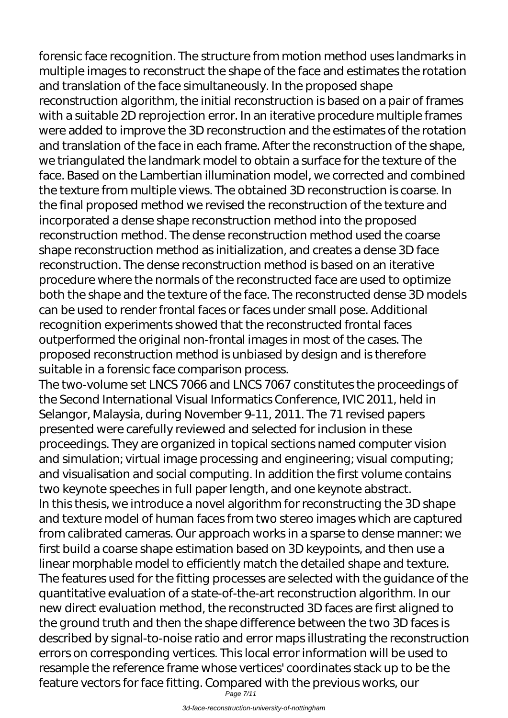forensic face recognition. The structure from motion method uses landmarks in multiple images to reconstruct the shape of the face and estimates the rotation and translation of the face simultaneously. In the proposed shape reconstruction algorithm, the initial reconstruction is based on a pair of frames with a suitable 2D reprojection error. In an iterative procedure multiple frames were added to improve the 3D reconstruction and the estimates of the rotation and translation of the face in each frame. After the reconstruction of the shape, we triangulated the landmark model to obtain a surface for the texture of the face. Based on the Lambertian illumination model, we corrected and combined the texture from multiple views. The obtained 3D reconstruction is coarse. In the final proposed method we revised the reconstruction of the texture and incorporated a dense shape reconstruction method into the proposed reconstruction method. The dense reconstruction method used the coarse shape reconstruction method as initialization, and creates a dense 3D face reconstruction. The dense reconstruction method is based on an iterative procedure where the normals of the reconstructed face are used to optimize both the shape and the texture of the face. The reconstructed dense 3D models can be used to render frontal faces or faces under small pose. Additional recognition experiments showed that the reconstructed frontal faces outperformed the original non-frontal images in most of the cases. The proposed reconstruction method is unbiased by design and is therefore suitable in a forensic face comparison process.

The two-volume set LNCS 7066 and LNCS 7067 constitutes the proceedings of the Second International Visual Informatics Conference, IVIC 2011, held in Selangor, Malaysia, during November 9-11, 2011. The 71 revised papers presented were carefully reviewed and selected for inclusion in these proceedings. They are organized in topical sections named computer vision and simulation; virtual image processing and engineering; visual computing; and visualisation and social computing. In addition the first volume contains two keynote speeches in full paper length, and one keynote abstract. In this thesis, we introduce a novel algorithm for reconstructing the 3D shape and texture model of human faces from two stereo images which are captured from calibrated cameras. Our approach works in a sparse to dense manner: we first build a coarse shape estimation based on 3D keypoints, and then use a linear morphable model to efficiently match the detailed shape and texture. The features used for the fitting processes are selected with the guidance of the quantitative evaluation of a state-of-the-art reconstruction algorithm. In our new direct evaluation method, the reconstructed 3D faces are first aligned to the ground truth and then the shape difference between the two 3D faces is described by signal-to-noise ratio and error maps illustrating the reconstruction errors on corresponding vertices. This local error information will be used to resample the reference frame whose vertices' coordinates stack up to be the feature vectors for face fitting. Compared with the previous works, our

Page 7/11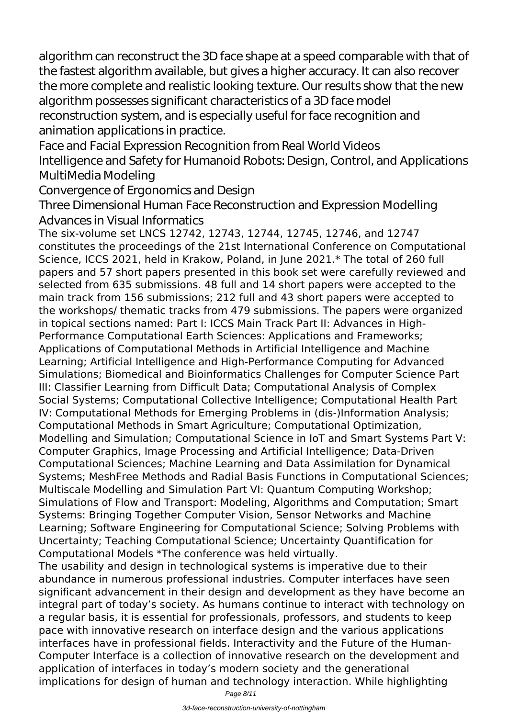algorithm can reconstruct the 3D face shape at a speed comparable with that of the fastest algorithm available, but gives a higher accuracy. It can also recover the more complete and realistic looking texture. Our results show that the new algorithm possesses significant characteristics of a 3D face model reconstruction system, and is especially useful for face recognition and animation applications in practice.

Face and Facial Expression Recognition from Real World Videos Intelligence and Safety for Humanoid Robots: Design, Control, and Applications MultiMedia Modeling

Convergence of Ergonomics and Design

Three Dimensional Human Face Reconstruction and Expression Modelling Advances in Visual Informatics

The six-volume set LNCS 12742, 12743, 12744, 12745, 12746, and 12747 constitutes the proceedings of the 21st International Conference on Computational Science, ICCS 2021, held in Krakow, Poland, in June 2021.\* The total of 260 full papers and 57 short papers presented in this book set were carefully reviewed and selected from 635 submissions. 48 full and 14 short papers were accepted to the main track from 156 submissions; 212 full and 43 short papers were accepted to the workshops/ thematic tracks from 479 submissions. The papers were organized in topical sections named: Part I: ICCS Main Track Part II: Advances in High-Performance Computational Earth Sciences: Applications and Frameworks; Applications of Computational Methods in Artificial Intelligence and Machine Learning; Artificial Intelligence and High-Performance Computing for Advanced Simulations; Biomedical and Bioinformatics Challenges for Computer Science Part III: Classifier Learning from Difficult Data; Computational Analysis of Complex Social Systems; Computational Collective Intelligence; Computational Health Part IV: Computational Methods for Emerging Problems in (dis-)Information Analysis; Computational Methods in Smart Agriculture; Computational Optimization, Modelling and Simulation; Computational Science in IoT and Smart Systems Part V: Computer Graphics, Image Processing and Artificial Intelligence; Data-Driven Computational Sciences; Machine Learning and Data Assimilation for Dynamical Systems; MeshFree Methods and Radial Basis Functions in Computational Sciences; Multiscale Modelling and Simulation Part VI: Quantum Computing Workshop; Simulations of Flow and Transport: Modeling, Algorithms and Computation; Smart Systems: Bringing Together Computer Vision, Sensor Networks and Machine Learning; Software Engineering for Computational Science; Solving Problems with Uncertainty; Teaching Computational Science; Uncertainty Quantification for Computational Models \*The conference was held virtually.

The usability and design in technological systems is imperative due to their abundance in numerous professional industries. Computer interfaces have seen significant advancement in their design and development as they have become an integral part of today's society. As humans continue to interact with technology on a regular basis, it is essential for professionals, professors, and students to keep pace with innovative research on interface design and the various applications interfaces have in professional fields. Interactivity and the Future of the Human-Computer Interface is a collection of innovative research on the development and application of interfaces in today's modern society and the generational implications for design of human and technology interaction. While highlighting

Page 8/11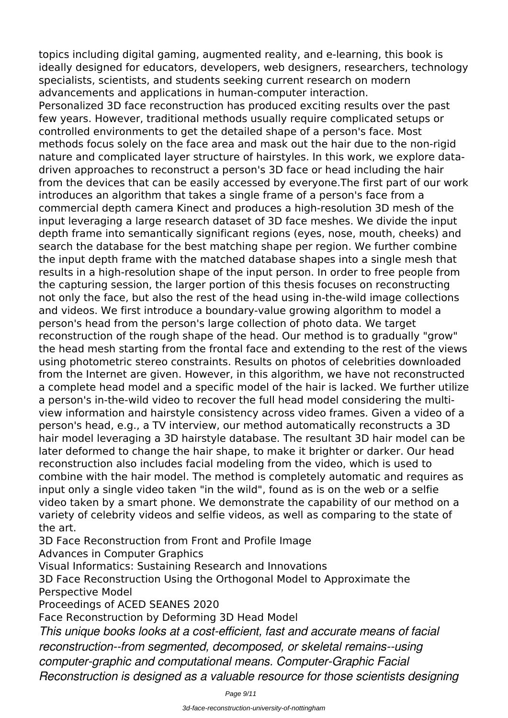topics including digital gaming, augmented reality, and e-learning, this book is ideally designed for educators, developers, web designers, researchers, technology specialists, scientists, and students seeking current research on modern advancements and applications in human-computer interaction.

Personalized 3D face reconstruction has produced exciting results over the past few years. However, traditional methods usually require complicated setups or controlled environments to get the detailed shape of a person's face. Most methods focus solely on the face area and mask out the hair due to the non-rigid nature and complicated layer structure of hairstyles. In this work, we explore datadriven approaches to reconstruct a person's 3D face or head including the hair from the devices that can be easily accessed by everyone.The first part of our work introduces an algorithm that takes a single frame of a person's face from a commercial depth camera Kinect and produces a high-resolution 3D mesh of the input leveraging a large research dataset of 3D face meshes. We divide the input depth frame into semantically significant regions (eyes, nose, mouth, cheeks) and search the database for the best matching shape per region. We further combine the input depth frame with the matched database shapes into a single mesh that results in a high-resolution shape of the input person. In order to free people from the capturing session, the larger portion of this thesis focuses on reconstructing not only the face, but also the rest of the head using in-the-wild image collections and videos. We first introduce a boundary-value growing algorithm to model a person's head from the person's large collection of photo data. We target reconstruction of the rough shape of the head. Our method is to gradually "grow" the head mesh starting from the frontal face and extending to the rest of the views using photometric stereo constraints. Results on photos of celebrities downloaded from the Internet are given. However, in this algorithm, we have not reconstructed a complete head model and a specific model of the hair is lacked. We further utilize a person's in-the-wild video to recover the full head model considering the multiview information and hairstyle consistency across video frames. Given a video of a person's head, e.g., a TV interview, our method automatically reconstructs a 3D hair model leveraging a 3D hairstyle database. The resultant 3D hair model can be later deformed to change the hair shape, to make it brighter or darker. Our head reconstruction also includes facial modeling from the video, which is used to combine with the hair model. The method is completely automatic and requires as input only a single video taken "in the wild", found as is on the web or a selfie video taken by a smart phone. We demonstrate the capability of our method on a variety of celebrity videos and selfie videos, as well as comparing to the state of the art.

3D Face Reconstruction from Front and Profile Image

Advances in Computer Graphics

Visual Informatics: Sustaining Research and Innovations

3D Face Reconstruction Using the Orthogonal Model to Approximate the Perspective Model

Proceedings of ACED SEANES 2020

Face Reconstruction by Deforming 3D Head Model

*This unique books looks at a cost-efficient, fast and accurate means of facial reconstruction--from segmented, decomposed, or skeletal remains--using computer-graphic and computational means. Computer-Graphic Facial Reconstruction is designed as a valuable resource for those scientists designing*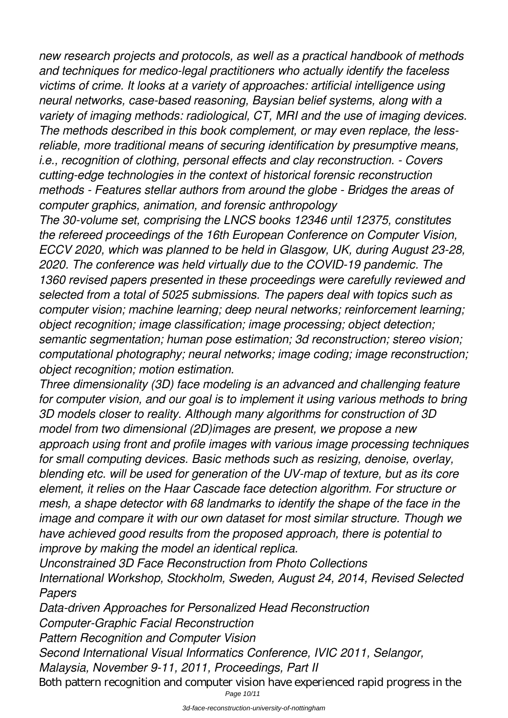*new research projects and protocols, as well as a practical handbook of methods and techniques for medico-legal practitioners who actually identify the faceless victims of crime. It looks at a variety of approaches: artificial intelligence using neural networks, case-based reasoning, Baysian belief systems, along with a variety of imaging methods: radiological, CT, MRI and the use of imaging devices. The methods described in this book complement, or may even replace, the lessreliable, more traditional means of securing identification by presumptive means, i.e., recognition of clothing, personal effects and clay reconstruction. - Covers cutting-edge technologies in the context of historical forensic reconstruction methods - Features stellar authors from around the globe - Bridges the areas of computer graphics, animation, and forensic anthropology*

*The 30-volume set, comprising the LNCS books 12346 until 12375, constitutes the refereed proceedings of the 16th European Conference on Computer Vision, ECCV 2020, which was planned to be held in Glasgow, UK, during August 23-28, 2020. The conference was held virtually due to the COVID-19 pandemic. The 1360 revised papers presented in these proceedings were carefully reviewed and selected from a total of 5025 submissions. The papers deal with topics such as computer vision; machine learning; deep neural networks; reinforcement learning; object recognition; image classification; image processing; object detection; semantic segmentation; human pose estimation; 3d reconstruction; stereo vision; computational photography; neural networks; image coding; image reconstruction; object recognition; motion estimation.*

*Three dimensionality (3D) face modeling is an advanced and challenging feature for computer vision, and our goal is to implement it using various methods to bring 3D models closer to reality. Although many algorithms for construction of 3D model from two dimensional (2D)images are present, we propose a new approach using front and profile images with various image processing techniques for small computing devices. Basic methods such as resizing, denoise, overlay, blending etc. will be used for generation of the UV-map of texture, but as its core element, it relies on the Haar Cascade face detection algorithm. For structure or mesh, a shape detector with 68 landmarks to identify the shape of the face in the image and compare it with our own dataset for most similar structure. Though we have achieved good results from the proposed approach, there is potential to improve by making the model an identical replica.*

*Unconstrained 3D Face Reconstruction from Photo Collections International Workshop, Stockholm, Sweden, August 24, 2014, Revised Selected Papers*

*Data-driven Approaches for Personalized Head Reconstruction Computer-Graphic Facial Reconstruction Pattern Recognition and Computer Vision Second International Visual Informatics Conference, IVIC 2011, Selangor, Malaysia, November 9-11, 2011, Proceedings, Part II* Both pattern recognition and computer vision have experienced rapid progress in the

Page 10/11